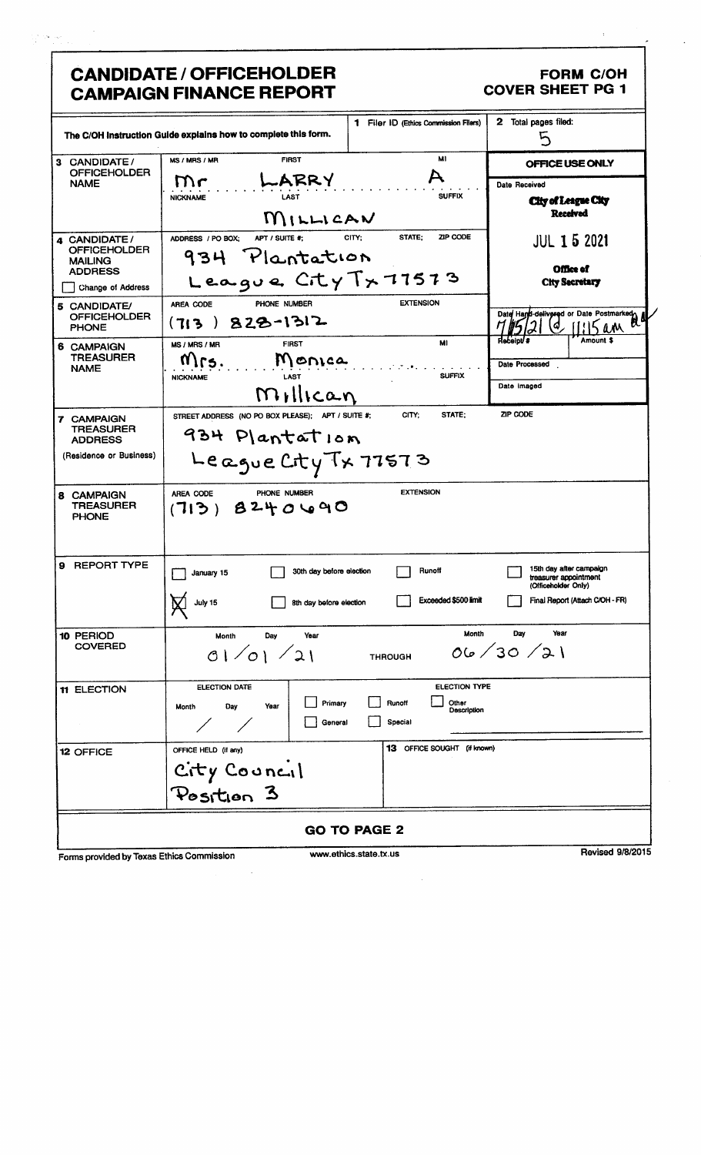# **CANDIDATE / OFFICEHOLDER CAMPAIGN FINANCE REPORT**

### FORM C/OH **COVER SHEET PG 1**

|                                                       | The C/OH Instruction Guide explains how to complete this form. |                          | <b>1</b> Filer ID (Ethics Commission Filers) | Total pages filed:<br>2<br>5                                            |
|-------------------------------------------------------|----------------------------------------------------------------|--------------------------|----------------------------------------------|-------------------------------------------------------------------------|
| 3 CANDIDATE/                                          | MS / MRS / MR<br><b>FIRST</b>                                  |                          | MI                                           | OFFICE USE ONLY                                                         |
| <b>OFFICEHOLDER</b><br><b>NAME</b>                    | ~ARRY<br>$\mathsf{m}\mathsf{c}$                                |                          |                                              | Date Received                                                           |
|                                                       | <b>NICKNAME</b><br>LAST                                        |                          | <b>SUFFIX</b>                                | <b>City of League City</b>                                              |
|                                                       | MILLICAN                                                       |                          |                                              | <b>Received</b>                                                         |
| 4 CANDIDATE/<br><b>OFFICEHOLDER</b><br><b>MAILING</b> | ADDRESS / PO BOX:<br>APT / SUITE #:<br>934 Plantation          | STATE:<br>CITY:          | ZIP CODE                                     | <b>JUL 1 5 2021</b>                                                     |
| <b>ADDRESS</b>                                        | League City Tx 77573                                           |                          |                                              | <b>Office of</b><br><b>City Secretary</b>                               |
| Change of Address                                     | PHONE NUMBER                                                   |                          | <b>EXTENSION</b>                             |                                                                         |
| 5 CANDIDATE/<br><b>OFFICEHOLDER</b><br><b>PHONE</b>   | AREA CODE<br>$828 - 1312$<br>(713                              |                          |                                              | Date Hand-delivered or Date Postmarked.<br>$\mu$ A<br>4                 |
| 6 CAMPAIGN                                            | <b>FIRST</b><br>MS / MRS / MR                                  |                          | MI                                           | Amount \$<br><b>Receipt #</b>                                           |
| <b>TREASURER</b><br><b>NAME</b>                       | Monica<br>MIrs.<br>LAST<br><b>NICKNAME</b>                     |                          | <b>SUFFIX</b>                                | Date Processed                                                          |
|                                                       | Millican                                                       |                          |                                              | Date imaged                                                             |
| 7 CAMPAIGN                                            | STREET ADDRESS (NO PO BOX PLEASE); APT / SUITE #;              | CITY:                    | STATE;                                       | ZIP CODE                                                                |
| <b>TREASURER</b><br><b>ADDRESS</b>                    | 934 Plantation                                                 |                          |                                              |                                                                         |
| (Residence or Business)                               | League City Tx 77573                                           |                          |                                              |                                                                         |
| <b>8 CAMPAIGN</b><br><b>TREASURER</b><br><b>PHONE</b> | PHONE NUMBER<br>AREA CODE<br>(713)8240090                      |                          | <b>EXTENSION</b>                             |                                                                         |
| 9 REPORT TYPE                                         | January 15                                                     | 30th day before election | Runoff                                       | 15th day after campaign<br>treasurer appointment<br>(Officeholder Only) |
|                                                       | July 15<br>8th day before election                             |                          | Exceeded \$500 limit                         | Final Report (Attach C/OH - FR)                                         |
| 10 PERIOD                                             | Month<br>Day<br>Year                                           |                          | Month                                        | Day<br>Year                                                             |
| <b>COVERED</b>                                        | 01/01/21                                                       | <b>THROUGH</b>           |                                              | 06/30/21                                                                |
| 11 ELECTION                                           | ELECTION DATE                                                  |                          | ELECTION TYPE                                |                                                                         |
|                                                       | Day<br>Year<br>Month                                           | Primary<br>Runoff        | Other<br>Description                         |                                                                         |
|                                                       | $\angle$                                                       | Special<br>General       |                                              |                                                                         |
| 12 OFFICE                                             | OFFICE HELD (if any)                                           |                          | <b>13</b> OFFICE SOUGHT (if known)           |                                                                         |
|                                                       | City Council<br>Position 3                                     |                          |                                              |                                                                         |
|                                                       |                                                                |                          |                                              |                                                                         |
|                                                       |                                                                | <b>GO TO PAGE 2</b>      |                                              |                                                                         |
|                                                       |                                                                | ussau athiae etata tu us |                                              | <b>Revised 9/8/2015</b>                                                 |

Forms provided by Texas Ethics Commission

www.ethics.state.tx.us

**Revised 9/8/20**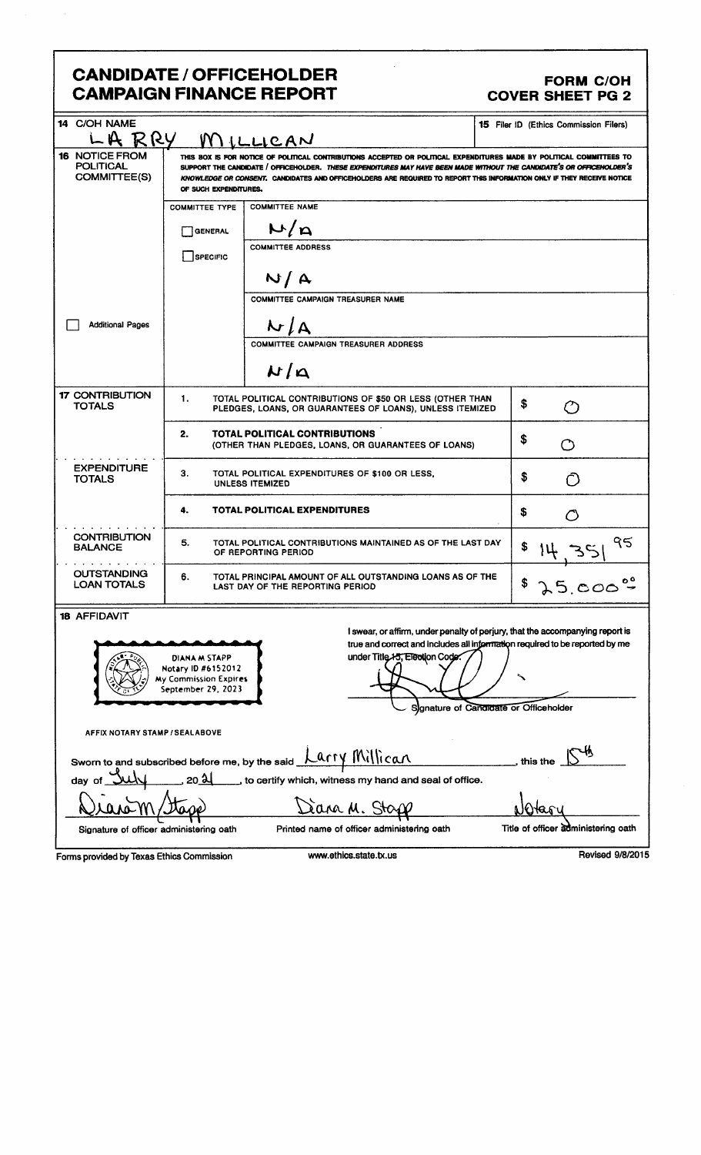## CANDIDATE / OFFICEHOLDER FORM C/OH CAMPAIGN FINANCE REPORT COVER SHEET PG 2

| 14 C/OH NAME<br>R RY                                      |                                                                                                                                                                                                                                                                                                                                                                                                  | MILLICAN                                                                                                              | <b>15</b> Filer ID (Ethics Commission Filers)                                                                                                                                                          |
|-----------------------------------------------------------|--------------------------------------------------------------------------------------------------------------------------------------------------------------------------------------------------------------------------------------------------------------------------------------------------------------------------------------------------------------------------------------------------|-----------------------------------------------------------------------------------------------------------------------|--------------------------------------------------------------------------------------------------------------------------------------------------------------------------------------------------------|
| <b>16 NOTICE FROM</b><br><b>POLITICAL</b><br>COMMITTEE(S) | THIS BOX IS FOR NOTICE OF POLITICAL CONTRIBUTIONS ACCEPTED OR POLITICAL EXPENDITURES MADE BY POLITICAL COMMITTEES TO<br>SUPPORT THE CANDIDATE / OFFICEHOLDER. THESE EXPENDITURES MAY HAVE BEEN MADE WITHOUT THE CANDIDATE'S OR OFFICEHOLDER'S<br>KNOWLEDGE OR CONSENT, CANDIDATES AND OFFICEHOLDERS ARE REQUIRED TO REPORT THIS INFORMATION ONLY IF THEY RECEIVE NOTICE<br>OF SUCH EXPENDITURES. |                                                                                                                       |                                                                                                                                                                                                        |
|                                                           | <b>COMMITTEE TYPE</b>                                                                                                                                                                                                                                                                                                                                                                            | <b>COMMITTEE NAME</b>                                                                                                 |                                                                                                                                                                                                        |
|                                                           | <b>GENERAL</b>                                                                                                                                                                                                                                                                                                                                                                                   | M/n                                                                                                                   |                                                                                                                                                                                                        |
|                                                           | SPECIFIC                                                                                                                                                                                                                                                                                                                                                                                         | <b>COMMITTEE ADDRESS</b>                                                                                              |                                                                                                                                                                                                        |
|                                                           |                                                                                                                                                                                                                                                                                                                                                                                                  | N/A                                                                                                                   |                                                                                                                                                                                                        |
|                                                           |                                                                                                                                                                                                                                                                                                                                                                                                  | <b>COMMITTEE CAMPAIGN TREASURER NAME</b>                                                                              |                                                                                                                                                                                                        |
| <b>Additional Pages</b>                                   |                                                                                                                                                                                                                                                                                                                                                                                                  | N/A                                                                                                                   |                                                                                                                                                                                                        |
|                                                           |                                                                                                                                                                                                                                                                                                                                                                                                  | <b>COMMITTEE CAMPAIGN TREASURER ADDRESS</b>                                                                           |                                                                                                                                                                                                        |
|                                                           |                                                                                                                                                                                                                                                                                                                                                                                                  | $N/\Delta$                                                                                                            |                                                                                                                                                                                                        |
| <b>17 CONTRIBUTION</b><br><b>TOTALS</b>                   | 1.                                                                                                                                                                                                                                                                                                                                                                                               | TOTAL POLITICAL CONTRIBUTIONS OF \$50 OR LESS (OTHER THAN<br>PLEDGES, LOANS, OR GUARANTEES OF LOANS), UNLESS ITEMIZED | \$                                                                                                                                                                                                     |
|                                                           | 2.                                                                                                                                                                                                                                                                                                                                                                                               | TOTAL POLITICAL CONTRIBUTIONS<br>(OTHER THAN PLEDGES, LOANS, OR GUARANTEES OF LOANS)                                  | \$                                                                                                                                                                                                     |
| <b>EXPENDITURE</b><br><b>TOTALS</b>                       | З.                                                                                                                                                                                                                                                                                                                                                                                               | TOTAL POLITICAL EXPENDITURES OF \$100 OR LESS,<br><b>UNLESS ITEMIZED</b>                                              | \$                                                                                                                                                                                                     |
|                                                           | 4.                                                                                                                                                                                                                                                                                                                                                                                               | <b>TOTAL POLITICAL EXPENDITURES</b>                                                                                   | \$                                                                                                                                                                                                     |
| <b>CONTRIBUTION</b><br><b>BALANCE</b>                     | 5.                                                                                                                                                                                                                                                                                                                                                                                               | TOTAL POLITICAL CONTRIBUTIONS MAINTAINED AS OF THE LAST DAY<br>OF REPORTING PERIOD                                    | ९८                                                                                                                                                                                                     |
| <b>OUTSTANDING</b><br><b>LOAN TOTALS</b>                  | 6.                                                                                                                                                                                                                                                                                                                                                                                               | TOTAL PRINCIPAL AMOUNT OF ALL OUTSTANDING LOANS AS OF THE<br>LAST DAY OF THE REPORTING PERIOD                         | 5,000                                                                                                                                                                                                  |
| <b>18 AFFIDAVIT</b>                                       |                                                                                                                                                                                                                                                                                                                                                                                                  |                                                                                                                       |                                                                                                                                                                                                        |
|                                                           | DIANA M STAPP<br>Notary ID #6152012<br><b>My Commission Expires</b><br>September 29, 2023                                                                                                                                                                                                                                                                                                        | under Title 15, Election Code.                                                                                        | I swear, or affirm, under penalty of perjury, that the accompanying report is<br>true and correct and includes all information required to be reported by me<br>Signature of Candidate or Officeholder |
| AFFIX NOTARY STAMP / SEALABOVE                            |                                                                                                                                                                                                                                                                                                                                                                                                  |                                                                                                                       |                                                                                                                                                                                                        |
|                                                           |                                                                                                                                                                                                                                                                                                                                                                                                  | Sworn to and subscribed before me, by the said $\frac{\text{Lary Millean}}{\text{Lary A}}$                            | this the                                                                                                                                                                                               |
| dav                                                       |                                                                                                                                                                                                                                                                                                                                                                                                  | to certify which, witness my hand and seal of office.                                                                 |                                                                                                                                                                                                        |
|                                                           |                                                                                                                                                                                                                                                                                                                                                                                                  | Sana M. Sta                                                                                                           |                                                                                                                                                                                                        |
| Signature of officer administering oath                   |                                                                                                                                                                                                                                                                                                                                                                                                  | Printed name of officer administering oath                                                                            | Title of officer administering oath                                                                                                                                                                    |
| Forms provided by Texas Ethics Commission                 |                                                                                                                                                                                                                                                                                                                                                                                                  | www.ethics.state.tx.us                                                                                                | Revised 9/8/2015                                                                                                                                                                                       |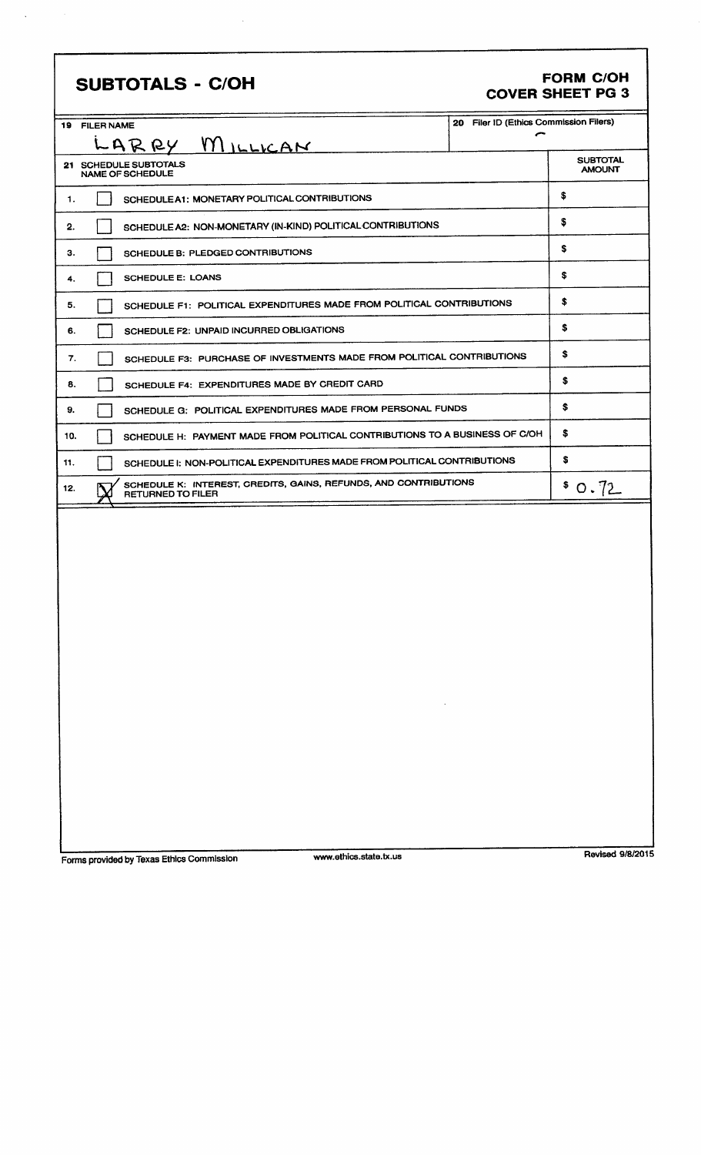| <b>SUBTOTALS - C/OH</b>                                                                             |                                             | <b>FORM C/OH</b><br><b>COVER SHEET PG 3</b> |
|-----------------------------------------------------------------------------------------------------|---------------------------------------------|---------------------------------------------|
| 19 FILER NAME                                                                                       | 20 Filer ID (Ethics Commission Filers)<br>⌒ |                                             |
| LARRY MILLICAN                                                                                      |                                             |                                             |
| 21 SCHEDULE SUBTOTALS<br>NAME OF SCHEDULE                                                           |                                             | <b>SUBTOTAL</b><br><b>AMOUNT</b>            |
| SCHEDULE A1: MONETARY POLITICAL CONTRIBUTIONS<br>1.                                                 |                                             | \$                                          |
| SCHEDULE A2: NON-MONETARY (IN-KIND) POLITICAL CONTRIBUTIONS<br>2.                                   |                                             | \$                                          |
| SCHEDULE B: PLEDGED CONTRIBUTIONS<br>з.                                                             |                                             | \$                                          |
| <b>SCHEDULE E: LOANS</b><br>4.                                                                      |                                             | \$                                          |
| SCHEDULE F1: POLITICAL EXPENDITURES MADE FROM POLITICAL CONTRIBUTIONS<br>5.                         |                                             | \$                                          |
| SCHEDULE F2: UNPAID INCURRED OBLIGATIONS<br>6.                                                      |                                             | \$                                          |
| SCHEDULE F3: PURCHASE OF INVESTMENTS MADE FROM POLITICAL CONTRIBUTIONS<br>7.                        |                                             | \$                                          |
| SCHEDULE F4: EXPENDITURES MADE BY CREDIT CARD<br>8.                                                 |                                             | \$                                          |
| SCHEDULE G: POLITICAL EXPENDITURES MADE FROM PERSONAL FUNDS<br>9.                                   |                                             | \$                                          |
| SCHEDULE H: PAYMENT MADE FROM POLITICAL CONTRIBUTIONS TO A BUSINESS OF C/OH<br>10.                  |                                             | \$                                          |
| SCHEDULE I: NON-POLITICAL EXPENDITURES MADE FROM POLITICAL CONTRIBUTIONS<br>11.                     |                                             | \$                                          |
| SCHEDULE K: INTEREST, CREDITS, GAINS, REFUNDS, AND CONTRIBUTIONS<br>12.<br><b>RETURNED TO FILER</b> |                                             | \$0.72                                      |
| <b>Contractor</b>                                                                                   |                                             |                                             |

 $\frac{1}{2}$ 

Forms provided by Texas Ethics Commission www.ethics.state.tx.us Revised 9/8/2015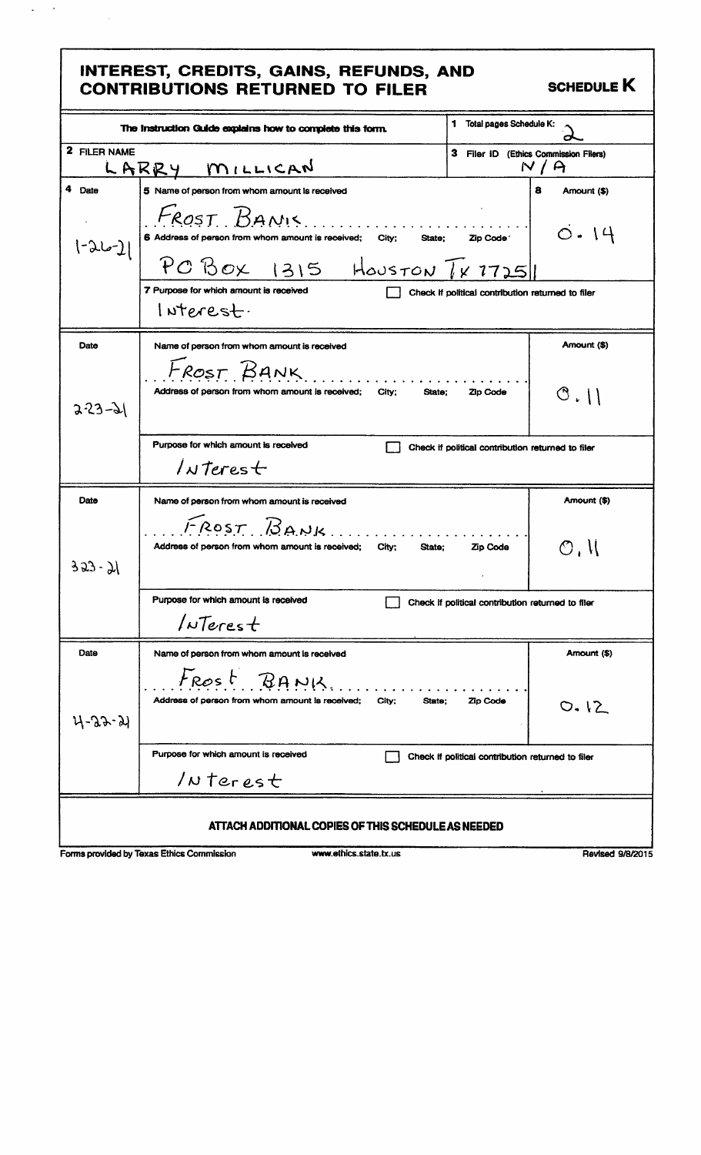### INTEREST, CREDITS, GAINS, REFUNDS, AND CONTRIBUTIONS RETURNED TO FILER SCHEDULE K

 $\bar{\star}$  $\omega_{\rm{eff}}$ 

|                  | INTEREST, CREDITS, GAINS, REFUNDS, AND<br><b>CONTRIBUTIONS RETURNED TO FILER</b>                                                    |                                                   | <b>SCHEDULE K</b> |
|------------------|-------------------------------------------------------------------------------------------------------------------------------------|---------------------------------------------------|-------------------|
|                  | The Instruction Guide explains how to complete this form.                                                                           | Total pages Schedule K:<br>1                      |                   |
| 2 FILER NAME     | LARRY MILLICAN                                                                                                                      | 3 Filer ID (Ethics Commission Filers)             | N/A               |
| 4<br>Date        | 5 Name of person from whom amount is received                                                                                       |                                                   | 8<br>Amount (\$)  |
| [سما2-,          | FROST BANIS<br>6 Address of person from whom amount is received;<br>City:<br>State:<br>$PC$ Box 1315 HOUSTON $\lceil x \rceil$ 7725 | Zip Code <sup>-</sup>                             | $\circ$ . $14$    |
|                  | 7 Purpose for which amount is received<br>$l$ Nterest.                                                                              | Check if political contribution returned to filer |                   |
| Date             | Name of person from whom amount is received                                                                                         |                                                   | Amount (\$)       |
| $2 - 3 - 31$     | FROST BANK<br>Address of person from whom amount is received:<br>City:<br>State;                                                    | Zip Code                                          | $\circ$ .         |
|                  | Purpose for which amount is received<br>$/$ NTerest                                                                                 | Check if political contribution returned to filer |                   |
| Date             | Name of person from whom amount is received                                                                                         |                                                   | Amount (\$)       |
| $353 - 71$       | FROST BANK<br>Address of person from whom amount is received; City;<br>State:                                                       | <b>Zip Code</b>                                   | O, U              |
|                  | Purpose for which amount is received<br>$/$ NTerest                                                                                 | Check if political contribution returned to filer |                   |
| Date             | Name of person from whom amount is received                                                                                         |                                                   | Amount (\$)       |
| <u> 11-33-51</u> | Frost BANK<br>Address of person from whom amount is received;<br>City;<br>State;                                                    | Zip Code                                          | 0.12              |
|                  | Purpose for which amount is received<br>$/$ N terest                                                                                | Check if political contribution returned to filer |                   |
|                  | ATTACH ADDITIONAL COPIES OF THIS SCHEDULE AS NEEDED                                                                                 |                                                   |                   |
|                  | Forms provided by Texas Ethics Commission<br>www.ethics.state.tx.us                                                                 |                                                   | Revised 9/8/2015  |